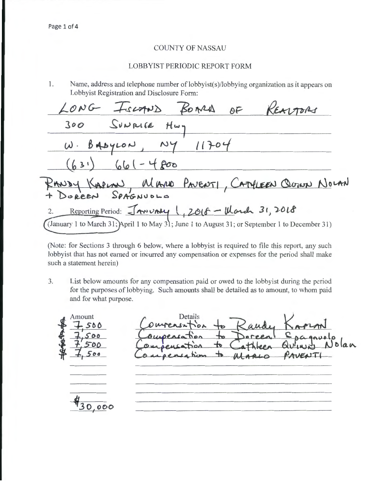## COUNTY OF NASSAU

### LOBBYIST PERIODIC REPORT FORM

1. Name, address and telephone number of lobbyist(s)/lobbying organization as it appears on Lobbyist Registration and Disclosure Form:

BOARD OF LONG FISCAND SUNRICE **Joo**   $H_{w}$  $11704$  $B$ AbyLON  $\omega$  .  $661 - 4800$  $(b31)$ KAPLAN MANO PAVENTI, CATHLEEN QUINN NOLAN Reporting Period: <del>JANUALY</del> 1, 2016 - Ward 31, 2018  $\overline{2}$ . (January 1 to March 31; April 1 to May 31; June 1 to August 31; or September 1 to December 31)

(Note: for Sections 3 through 6 below, where a lobbyist is required to file this report, any such lobbyist that has not earned or incurred any compensation or expenses for the period shall make such a statement herein)

3. List below amounts for any compensation paid or owed to the lobbyist during the period for the purposes of lobbying. Such amounts shall be detailed as to amount, to whom paid and for what purpose.

 $\begin{array}{r}\n 4 \text{ Amount} \\
\hline\n 7.50 \\
\hline\n 4.50\n \end{array}$ Details *+sbO l*<br>↓ <del>7</del>,500<br>₩ 7,500  $.000$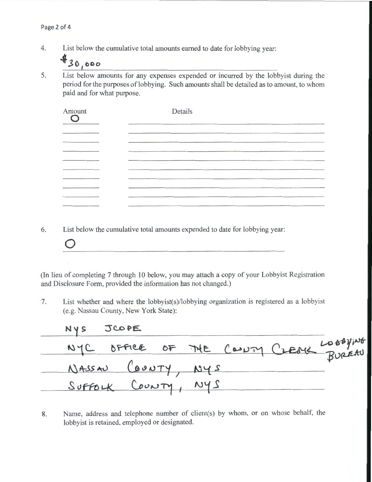4. List below the cumulative total amounts earned to date for lobbying year:

 $430,000$ 

5. List below amounts for any expenses expended or incurred by the lobbyist during the period for the purposes of lobbying. Such amounts shall be detailed as to amount, to whom paid and for what purpose.

| Amount                          | Details        |
|---------------------------------|----------------|
|                                 | <b>COLLEGE</b> |
| <b>CONTRACTOR</b> IN CONTRACTOR |                |
|                                 |                |
|                                 |                |
|                                 | ____________   |
|                                 |                |

6. List below the cumulative total amounts expended to date for lobbying year:

**0** 

(In lieu of completing 7 through 10 below, you may attach a copy of your Lobbyist Registration and Disclosure Form, provided the information has not changed.)

7. List whether and where the lobbyist(s)/lobbying organization is registered as a lobbyist (e.g. Nassau County, New York State):

| NYS JCOPE           |  |  |                                         |
|---------------------|--|--|-----------------------------------------|
|                     |  |  | NYC OFFICE OF THE COULTY CLEAR LOOPFING |
| NASSAU (BUNTY, NYS  |  |  |                                         |
| SUFFOLK COUNTY, NYS |  |  |                                         |

<sup>8.</sup> Name, address and telephone number of client(s) by whom, or on whose behalf, the lobbyist is retained, employed or designated.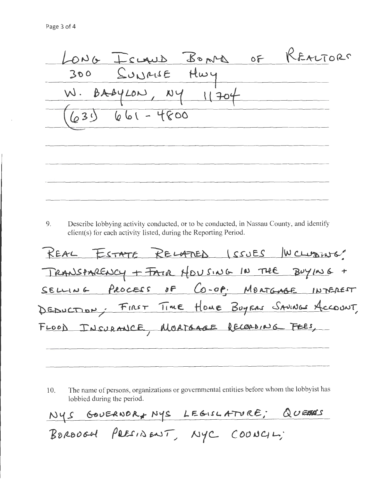LONG ICLAUD BOND OF REALTORS 300 SUNRISE HWY  $W.$  BABYLON,  $NY$   $11704$  $(639) 661 - 4800$ 

9. Describe lobbying activity conducted, or to be conducted, in Nassau County, and identify client(s) for each activity listed, during the Reporting Period.

REAL ESTATE RELATED ISSUES WCLUDING TRANSPARENCY + FAIR HOUSING IN THE BUYING + SELLING PROCESS OF CO-OP. MORTGABE INTEREST DEDUCTION, FIRST TIME HOME BUYERS SAVINGS ACCOUNT, FLOOD INSURANCE, MORTGAGE RECORDING FEES,

The name of persons, organizations or governmental entities before whom the lobbyist has 10. lobbied during the period.

NYS GOUERNOR, NYS LEGISLATURE; QUEENS

BOROUGH PAESINENT, NYC COUNCIL;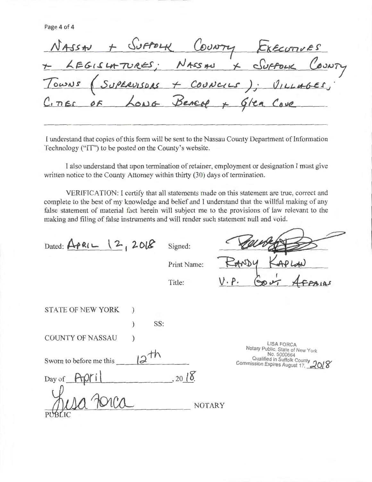Page 4 of 4

|  |  | NASSAU + SUFFOLK COUNTY EXECUTIVES        |  |
|--|--|-------------------------------------------|--|
|  |  | + LEGISLATURES; NASSAU X SUFFOLK COUNTY   |  |
|  |  | TOWNS (SUPERVISORS + COUNCILS); VILLAGES; |  |
|  |  | CITIES OF LONG BEACH + GIER COVE          |  |
|  |  |                                           |  |

I understand that copies of this form will be sent to the Nassau County Department of Information Technology ("IT") to be posted on the County's website.

I also understand that upon termination of retainer, employment or designation I must give written notice to the County Attorney within thirty (30) days of termination.

VERIFICATION: I certify that all statements made on this statement are true, correct and complete to the best of my knowledge and belief and I understand that the willful making of any false statement of material fact herein will subject me to the provisions of law relevant to the making and filing of false instruments and will render such statement null and void.

 $Dated: \overline{APRL}$   $\downarrow$  2, 2018 Signed:

Print Name:

Title:

STATE OF NEW YORK ) ) SS: COUNTY OF NASSAU ~fu Sworn to before me this *d* ----~~--------- Day of  $\frac{1}{\text{PUBLIC}}$  $, 201$ 

LISA FORCA Notary Public, State of New York No.5000664 \_Qualified in Suffolk County No. 5000664<br>Qualified in Suffolk County<br>Commission Expires August 17, 2018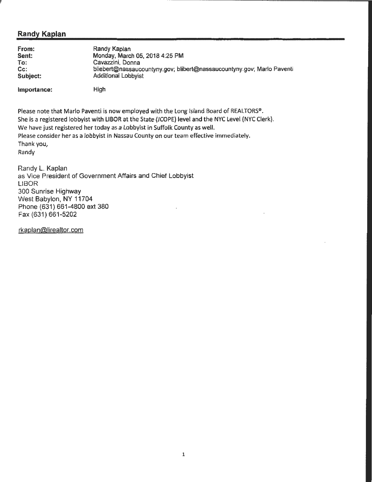# **Randy Kaplan**

| From:       | Randy Kaplan                                                           |
|-------------|------------------------------------------------------------------------|
| Sent:       | Monday, March 05, 2018 4:25 PM                                         |
| To:         | Cavazzini, Donna                                                       |
| Cc:         | bliebert@nassaucountyny.gov; blibert@nassaucountyny.gov; Marlo Paventi |
| Subject:    | Additional Lobbyist                                                    |
| Importance: | High                                                                   |

Please note that Marlo Paventi is now employed with the long Island Board of REALTORS®. She is a registered lobbyist with LIBOR at the State (JCOPE) level and the NYC Level (NYC Clerk). We have just registered her today as a Lobbyist in Suffolk County as well. Please consider her as a lobbyist in Nassau County on our team effective immediately. Thank you, Randy

Randy L. Kaplan as Vice President of Government Affairs and Chief Lobbyist LIBOR 300 Sunrise Highway West Babylon, NY 11704 Phone (631) 661-4800 ext 380 Fax (631) 661-5202

rkaplan@lirealtor.com